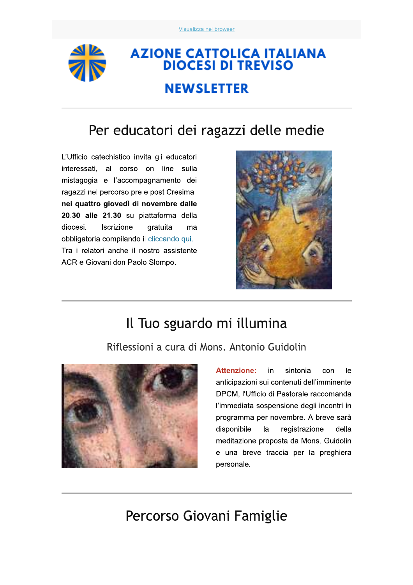

# **AZIONE CATTOLICA ITALIANA<br>DIOCESI DI TREVISO NEWSLETTER**

## Per educatori dei ragazzi delle medie

L'Ufficio catechistico invita gli educatori interessati, al corso on line sulla mistagogia e l'accompagnamento dei ragazzi nel percorso pre e post Cresima nei quattro giovedì di novembre dalle 20.30 alle 21.30 su piattaforma della diocesi. Iscrizione gratuita ma obbligatoria compilando il cliccando qui. Tra i relatori anche il nostro assistente ACR e Giovani don Paolo Slompo.



### Il Tuo sguardo mi illumina

Riflessioni a cura di Mons. Antonio Guidolin



Attenzione: in sintonia con le anticipazioni sui contenuti dell'imminente DPCM, l'Ufficio di Pastorale raccomanda l'immediata sospensione degli incontri in programma per novembre. A breve sarà disponibile la registrazione della meditazione proposta da Mons. Guidolin e una breve traccia per la preghiera personale.

Percorso Giovani Famiglie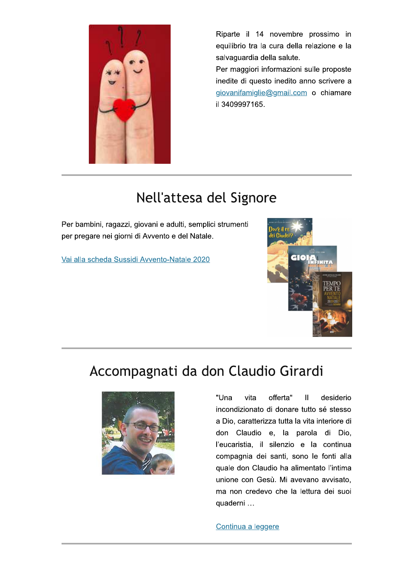

Riparte il 14 novembre prossimo in equilibrio tra la cura della relazione e la salvaguardia della salute.

Per maggiori informazioni sulle proposte inedite di questo inedito anno scrivere a giovanifamiglie@gmail.com o chiamare il 3409997165.

### Nell'attesa del Signore

Per bambini, ragazzi, giovani e adulti, semplici strumenti per pregare nei giorni di Avvento e del Natale.

Vai alla scheda Sussidi Avvento-Natale 2020



### Accompagnati da don Claudio Girardi



"Una vita offerta"  $\mathbf{I}$ desiderio incondizionato di donare tutto sé stesso a Dio, caratterizza tutta la vita interiore di don Claudio e, la parola di Dio, l'eucaristia, il silenzio e la continua compagnia dei santi, sono le fonti alla quale don Claudio ha alimentato l'intima unione con Gesù. Mi avevano avvisato, ma non credevo che la lettura dei suoi quaderni ...

#### Continua a leggere